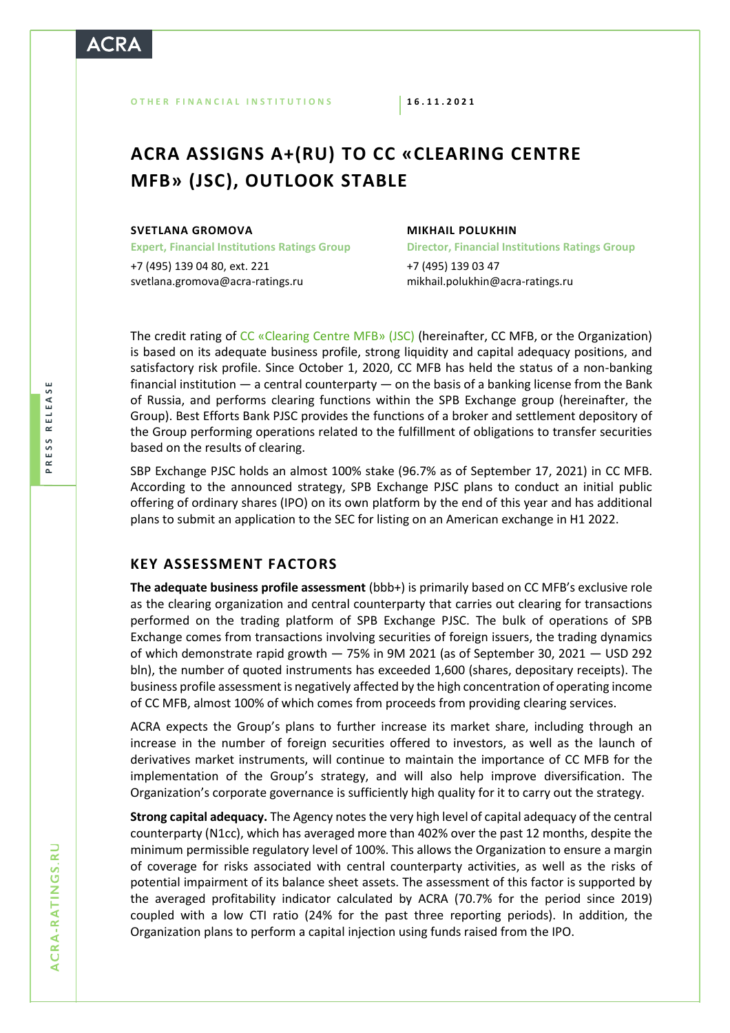# **ACR/**

# **ACRA ASSIGNS A+(RU) TO CC «CLEARING CENTRE MFB» (JSC), OUTLOOK STABLE**

#### **SVETLANA GROMOVA**

**Expert, Financial Institutions Ratings Group**

+7 (495) 139 04 80, ext. 221 [svetlana.gromova@acra-ratings.ru](mailto:svetlana.gromova@acra-ratings.ru)

#### **MIKHAIL POLUKHIN**

**Director, Financial Institutions Ratings Group** +7 (495) 139 03 47 [mikhail.polukhin@acra-ratings.ru](mailto:mikhail.polukhin@acra-ratings.ru)

The credit rating of [CC «Clearing Centre MFB» \(JSC\)](https://www.acra-ratings.ru/ratings/issuers/392/?lang=en) (hereinafter, CC MFB, or the Organization) is based on its adequate business profile, strong liquidity and capital adequacy positions, and satisfactory risk profile. Since October 1, 2020, CC MFB has held the status of a non-banking financial institution — a central counterparty — on the basis of a banking license from the Bank of Russia, and performs clearing functions within the SPB Exchange group (hereinafter, the Group). Best Efforts Bank PJSC provides the functions of a broker and settlement depository of the Group performing operations related to the fulfillment of obligations to transfer securities based on the results of clearing.

SBP Exchange PJSC holds an almost 100% stake (96.7% as of September 17, 2021) in CC MFB. According to the announced strategy, SPB Exchange PJSC plans to conduct an initial public offering of ordinary shares (IPO) on its own platform by the end of this year and has additional plans to submit an application to the SEC for listing on an American exchange in H1 2022.

# **KEY ASSESSMENT FACTORS**

**The adequate business profile assessment** (bbb+) is primarily based on CC MFB's exclusive role as the clearing organization and central counterparty that carries out clearing for transactions performed on the trading platform of SPB Exchange PJSC. The bulk of operations of SPB Exchange comes from transactions involving securities of foreign issuers, the trading dynamics of which demonstrate rapid growth — 75% in 9M 2021 (as of September 30, 2021 — USD 292 bln), the number of quoted instruments has exceeded 1,600 (shares, depositary receipts). The business profile assessment is negatively affected by the high concentration of operating income of CC MFB, almost 100% of which comes from proceeds from providing clearing services.

ACRA expects the Group's plans to further increase its market share, including through an increase in the number of foreign securities offered to investors, as well as the launch of derivatives market instruments, will continue to maintain the importance of CC MFB for the implementation of the Group's strategy, and will also help improve diversification. The Organization's corporate governance is sufficiently high quality for it to carry out the strategy.

**Strong capital adequacy.** The Agency notes the very high level of capital adequacy of the central counterparty (N1cc), which has averaged more than 402% over the past 12 months, despite the minimum permissible regulatory level of 100%. This allows the Organization to ensure a margin of coverage for risks associated with central counterparty activities, as well as the risks of potential impairment of its balance sheet assets. The assessment of this factor is supported by the averaged profitability indicator calculated by ACRA (70.7% for the period since 2019) coupled with a low CTI ratio (24% for the past three reporting periods). In addition, the Organization plans to perform a capital injection using funds raised from the IPO.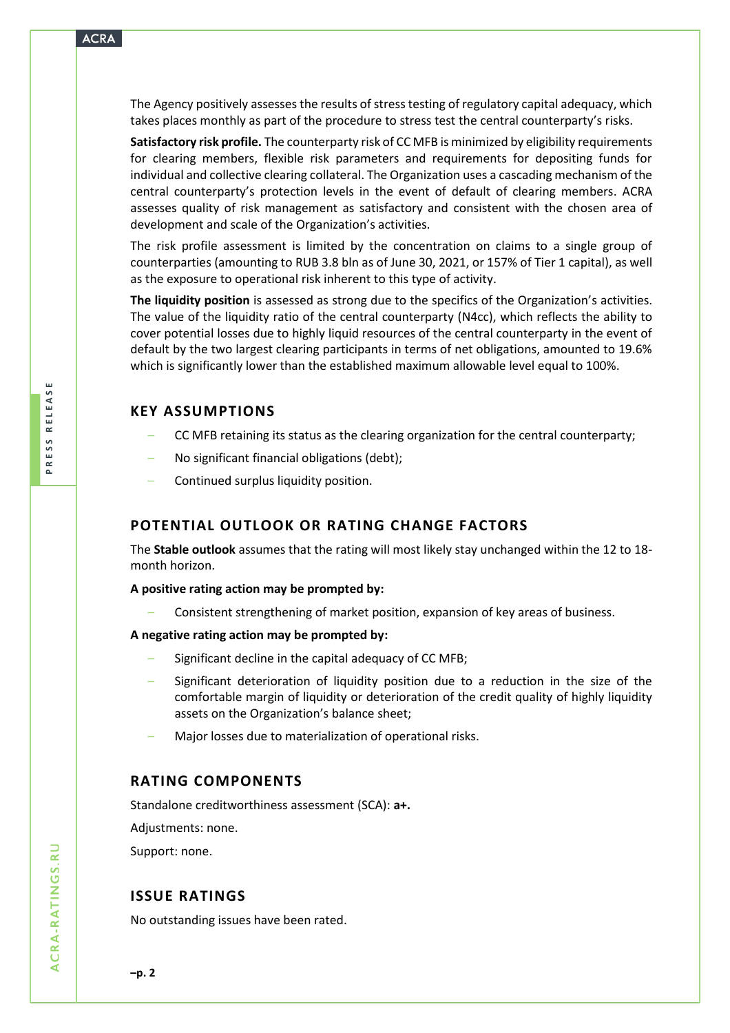The Agency positively assesses the results of stress testing of regulatory capital adequacy, which takes places monthly as part of the procedure to stress test the central counterparty's risks.

**Satisfactory risk profile.** The counterparty risk of CC MFB is minimized by eligibility requirements for clearing members, flexible risk parameters and requirements for depositing funds for individual and collective clearing collateral. The Organization uses a cascading mechanism of the central counterparty's protection levels in the event of default of clearing members. ACRA assesses quality of risk management as satisfactory and consistent with the chosen area of development and scale of the Organization's activities.

The risk profile assessment is limited by the concentration on claims to a single group of counterparties (amounting to RUB 3.8 bln as of June 30, 2021, or 157% of Tier 1 capital), as well as the exposure to operational risk inherent to this type of activity.

**The liquidity position** is assessed as strong due to the specifics of the Organization's activities. The value of the liquidity ratio of the central counterparty (N4cc), which reflects the ability to cover potential losses due to highly liquid resources of the central counterparty in the event of default by the two largest clearing participants in terms of net obligations, amounted to 19.6% which is significantly lower than the established maximum allowable level equal to 100%.

# **KEY ASSUMPTIONS**

- CC MFB retaining its status as the clearing organization for the central counterparty;
- No significant financial obligations (debt);
- Continued surplus liquidity position.

## **POTENTIAL OUTLOOK OR RATING CHANGE FACTORS**

The **Stable outlook** assumes that the rating will most likely stay unchanged within the 12 to 18 month horizon.

**A positive rating action may be prompted by:**

– Consistent strengthening of market position, expansion of key areas of business.

#### **A negative rating action may be prompted by:**

- Significant decline in the capital adequacy of CC MFB;
- Significant deterioration of liquidity position due to a reduction in the size of the comfortable margin of liquidity or deterioration of the credit quality of highly liquidity assets on the Organization's balance sheet;
- Major losses due to materialization of operational risks.

#### **RATING COMPONENTS**

Standalone creditworthiness assessment (SCA): **а+.**

Adjustments: none.

Support: none.

## **ISSUE RATINGS**

No outstanding issues have been rated.

**P R E S S R E L E A S E**

PRESS RELEASE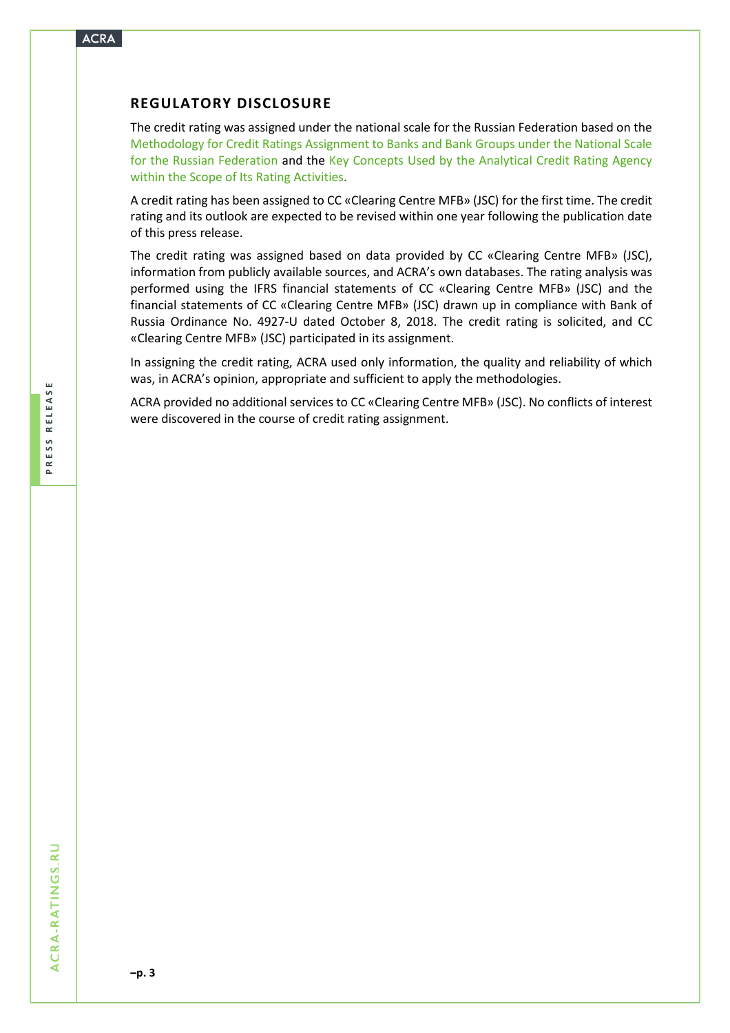## **REGULATORY DISCLOSURE**

The credit rating was assigned under the national scale for the Russian Federation based on the [Methodology for Credit Ratings Assignment to Banks and Bank Groups under the National Scale](https://acra-ratings.ru/criteria/382/?lang=en)  [for the Russian Federation](https://acra-ratings.ru/criteria/382/?lang=en) and the Key Concepts Used by the Analytical Credit Rating Agency [within the Scope of Its Rating Activities.](https://acra-ratings.ru/criteria/80/?lang=en)

A credit rating has been assigned to CC «Clearing Centre MFB» (JSC) for the first time. The credit rating and its outlook are expected to be revised within one year following the publication date of this press release.

The credit rating was assigned based on data provided by CC «Clearing Centre MFB» (JSC), information from publicly available sources, and ACRA's own databases. The rating analysis was performed using the IFRS financial statements of CC «Clearing Centre MFB» (JSC) and the financial statements of CC «Clearing Centre MFB» (JSC) drawn up in compliance with Bank of Russia Ordinance No. 4927-U dated October 8, 2018. The credit rating is solicited, and CC «Clearing Centre MFB» (JSC) participated in its assignment.

In assigning the credit rating, ACRA used only information, the quality and reliability of which was, in ACRA's opinion, appropriate and sufficient to apply the methodologies.

ACRA provided no additional services to CC «Clearing Centre MFB» (JSC). No conflicts of interest were discovered in the course of credit rating assignment.

**P R E S S R E L E A S E**

PRESS RELEASE